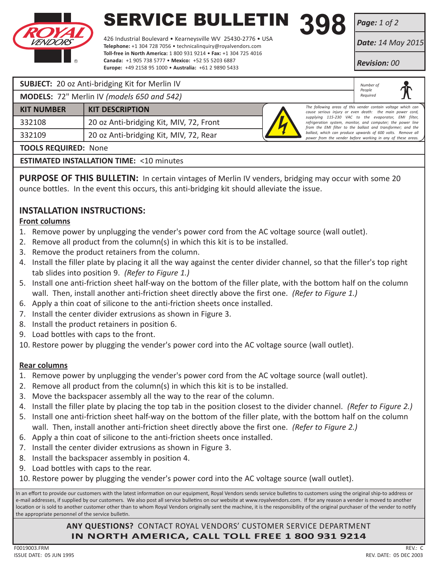

# **SERVICE BULLETIN 398**<br>426 Industrial Boulevard • Kearneysville WV 25430-2776 • USA

426 Industrial Boulevard • Kearneysville WV 25430-2776 • USA **Telephone:** +1 304 728 7056 • technicalinquiry@royalvendors.com **Toll-free in North America:** 1 800 931 9214 • **Fax:** +1 304 725 4016 **Canada:** +1 905 738 5777 • **Mexico:** +52 55 5203 6887 **Europe:** +49 2158 95 1000 • **Australia:** +61 2 9890 5433

*Page: 1 of 2*

*Date: 14 May 2015*

*Revision: 00*

*Number of People Required*

## **SUBJECT:** 20 oz Anti-bridging Kit for Merlin IV

**MODELS:** 72" Merlin IV *(models 650 and 542)*

| <b>KIT NUMBER</b> | <b>KIT DESCRIPTION</b>                  |  |
|-------------------|-----------------------------------------|--|
| 332108            | 20 oz Anti-bridging Kit, MIV, 72, Front |  |
| 332109            | 20 oz Anti-bridging Kit, MIV, 72, Rear  |  |



*The following areas of this vender contain voltage which can cause serious injury or even death: the main power cord, supplying 115-230 VAC to the evaporator, EMI filter, refrigeration system, monitor, and computer; the power line from the EMI filter to the ballast and transformer; and the*  ballast, which can produce upwards of 600 volts. Remove all *power from the vender before working in any of these areas.*

## **TOOLS REQUIRED:** None

**ESTIMATED INSTALLATION TIME: <10 minutes** 

**PURPOSE OF THIS BULLETIN:** In certain vintages of Merlin IV venders, bridging may occur with some 20 ounce bottles. In the event this occurs, this anti-bridging kit should alleviate the issue.

## **INSTALLATION INSTRUCTIONS:**

## **Front columns**

- 1. Remove power by unplugging the vender's power cord from the AC voltage source (wall outlet).
- 2. Remove all product from the column(s) in which this kit is to be installed.
- 3. Remove the product retainers from the column.
- 4. Install the filler plate by placing it all the way against the center divider channel, so that the filler's top right tab slides into position 9. *(Refer to Figure 1.)*
- 5. Install one anti-friction sheet half-way on the bottom of the filler plate, with the bottom half on the column wall. Then, install another anti-friction sheet directly above the first one. *(Refer to Figure 1.)*
- 6. Apply a thin coat of silicone to the anti-friction sheets once installed.
- 7. Install the center divider extrusions as shown in Figure 3.
- 8. Install the product retainers in position 6.
- 9. Load bottles with caps to the front.
- 10. Restore power by plugging the vender's power cord into the AC voltage source (wall outlet).

## **Rear columns**

- 1. Remove power by unplugging the vender's power cord from the AC voltage source (wall outlet).
- 2. Remove all product from the column(s) in which this kit is to be installed.
- 3. Move the backspacer assembly all the way to the rear of the column.
- 4. Install the filler plate by placing the top tab in the position closest to the divider channel. *(Refer to Figure 2.)*
- 5. Install one anti-friction sheet half-way on the bottom of the filler plate, with the bottom half on the column wall. Then, install another anti-friction sheet directly above the first one. *(Refer to Figure 2.)*
- 6. Apply a thin coat of silicone to the anti-friction sheets once installed.
- 7. Install the center divider extrusions as shown in Figure 3.
- 8. Install the backspacer assembly in position 4.
- 9. Load bottles with caps to the rear.
- 10. Restore power by plugging the vender's power cord into the AC voltage source (wall outlet).

In an effort to provide our customers with the latest information on our equipment, Royal Vendors sends service bulletins to customers using the original ship-to address or e-mail addresses, if supplied by our customers. We also post all service bulletins on our website at www.royalvendors.com. If for any reason a vender is moved to another location or is sold to another customer other than to whom Royal Vendors originally sent the machine, it is the responsibility of the original purchaser of the vender to notify the appropriate personnel of the service bulletin.

> **ANY QUESTIONS?** CONTACT ROYAL VENDORS' CUSTOMER SERVICE DEPARTMENT **IN NORTH AMERICA, CALL TOLL FREE 1 800 931 9214**